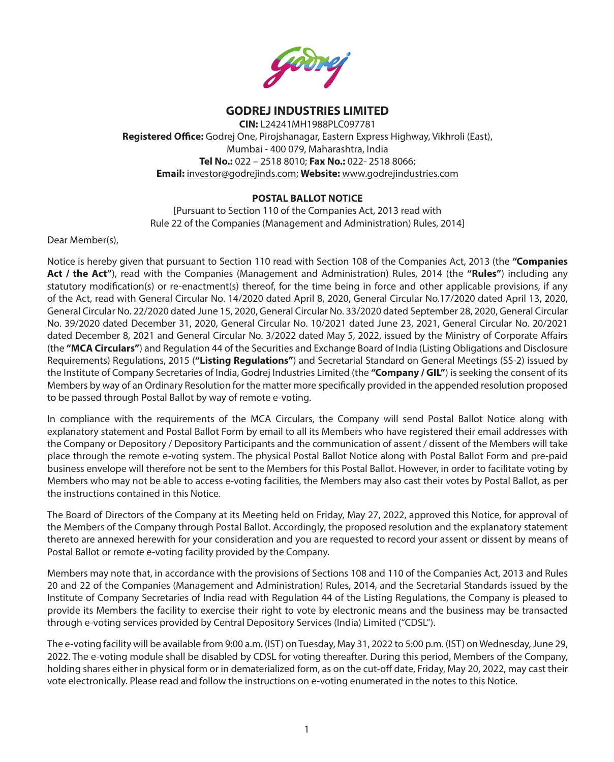

# **GODREJ INDUSTRIES LIMITED**

**CIN:** L24241MH1988PLC097781 **Registered Office:** Godrej One, Pirojshanagar, Eastern Express Highway, Vikhroli (East), Mumbai - 400 079, Maharashtra, India **Tel No.:** 022 – 2518 8010; **Fax No.:** 022- 2518 8066; **Email:** investor@godrejinds.com; **Website:** www.godrejindustries.com

## **POSTAL BALLOT NOTICE**

[Pursuant to Section 110 of the Companies Act, 2013 read with Rule 22 of the Companies (Management and Administration) Rules, 2014]

Dear Member(s),

Notice is hereby given that pursuant to Section 110 read with Section 108 of the Companies Act, 2013 (the **"Companies Act / the Act"**), read with the Companies (Management and Administration) Rules, 2014 (the **"Rules"**) including any statutory modification(s) or re-enactment(s) thereof, for the time being in force and other applicable provisions, if any of the Act, read with General Circular No. 14/2020 dated April 8, 2020, General Circular No.17/2020 dated April 13, 2020, General Circular No. 22/2020 dated June 15, 2020, General Circular No. 33/2020 dated September 28, 2020, General Circular No. 39/2020 dated December 31, 2020, General Circular No. 10/2021 dated June 23, 2021, General Circular No. 20/2021 dated December 8, 2021 and General Circular No. 3/2022 dated May 5, 2022, issued by the Ministry of Corporate Affairs (the **"MCA Circulars"**) and Regulation 44 of the Securities and Exchange Board of India (Listing Obligations and Disclosure Requirements) Regulations, 2015 (**"Listing Regulations"**) and Secretarial Standard on General Meetings (SS-2) issued by the Institute of Company Secretaries of India, Godrej Industries Limited (the **"Company / GIL"**) is seeking the consent of its Members by way of an Ordinary Resolution for the matter more specifically provided in the appended resolution proposed to be passed through Postal Ballot by way of remote e-voting.

In compliance with the requirements of the MCA Circulars, the Company will send Postal Ballot Notice along with explanatory statement and Postal Ballot Form by email to all its Members who have registered their email addresses with the Company or Depository / Depository Participants and the communication of assent / dissent of the Members will take place through the remote e-voting system. The physical Postal Ballot Notice along with Postal Ballot Form and pre-paid business envelope will therefore not be sent to the Members for this Postal Ballot. However, in order to facilitate voting by Members who may not be able to access e-voting facilities, the Members may also cast their votes by Postal Ballot, as per the instructions contained in this Notice.

The Board of Directors of the Company at its Meeting held on Friday, May 27, 2022, approved this Notice, for approval of the Members of the Company through Postal Ballot. Accordingly, the proposed resolution and the explanatory statement thereto are annexed herewith for your consideration and you are requested to record your assent or dissent by means of Postal Ballot or remote e-voting facility provided by the Company.

Members may note that, in accordance with the provisions of Sections 108 and 110 of the Companies Act, 2013 and Rules 20 and 22 of the Companies (Management and Administration) Rules, 2014, and the Secretarial Standards issued by the Institute of Company Secretaries of India read with Regulation 44 of the Listing Regulations, the Company is pleased to provide its Members the facility to exercise their right to vote by electronic means and the business may be transacted through e-voting services provided by Central Depository Services (India) Limited ("CDSL").

The e-voting facility will be available from 9:00 a.m. (IST) on Tuesday, May 31, 2022 to 5:00 p.m. (IST) on Wednesday, June 29, 2022. The e-voting module shall be disabled by CDSL for voting thereafter. During this period, Members of the Company, holding shares either in physical form or in dematerialized form, as on the cut-off date, Friday, May 20, 2022, may cast their vote electronically. Please read and follow the instructions on e-voting enumerated in the notes to this Notice.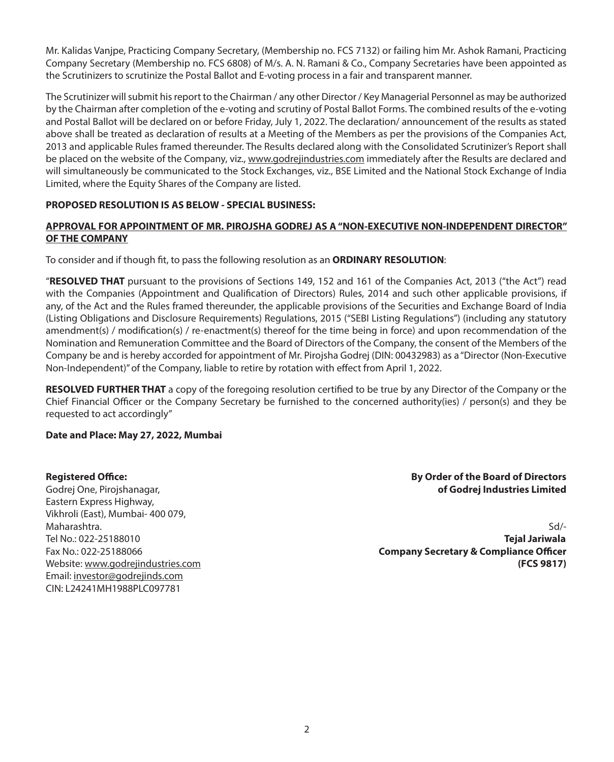Mr. Kalidas Vanjpe, Practicing Company Secretary, (Membership no. FCS 7132) or failing him Mr. Ashok Ramani, Practicing Company Secretary (Membership no. FCS 6808) of M/s. A. N. Ramani & Co., Company Secretaries have been appointed as the Scrutinizers to scrutinize the Postal Ballot and E-voting process in a fair and transparent manner.

The Scrutinizer will submit his report to the Chairman / any other Director / Key Managerial Personnel as may be authorized by the Chairman after completion of the e-voting and scrutiny of Postal Ballot Forms. The combined results of the e-voting and Postal Ballot will be declared on or before Friday, July 1, 2022. The declaration/ announcement of the results as stated above shall be treated as declaration of results at a Meeting of the Members as per the provisions of the Companies Act, 2013 and applicable Rules framed thereunder. The Results declared along with the Consolidated Scrutinizer's Report shall be placed on the website of the Company, viz., www.godrejindustries.com immediately after the Results are declared and will simultaneously be communicated to the Stock Exchanges, viz., BSE Limited and the National Stock Exchange of India Limited, where the Equity Shares of the Company are listed.

## **PROPOSED RESOLUTION IS AS BELOW - SPECIAL BUSINESS:**

## **APPROVAL FOR APPOINTMENT OF MR. PIROJSHA GODREJ AS A "NON-EXECUTIVE NON-INDEPENDENT DIRECTOR" OF THE COMPANY**

To consider and if though fit, to pass the following resolution as an **ORDINARY RESOLUTION**:

"**RESOLVED THAT** pursuant to the provisions of Sections 149, 152 and 161 of the Companies Act, 2013 ("the Act") read with the Companies (Appointment and Qualification of Directors) Rules, 2014 and such other applicable provisions, if any, of the Act and the Rules framed thereunder, the applicable provisions of the Securities and Exchange Board of India (Listing Obligations and Disclosure Requirements) Regulations, 2015 ("SEBI Listing Regulations") (including any statutory amendment(s) / modification(s) / re-enactment(s) thereof for the time being in force) and upon recommendation of the Nomination and Remuneration Committee and the Board of Directors of the Company, the consent of the Members of the Company be and is hereby accorded for appointment of Mr. Pirojsha Godrej (DIN: 00432983) as a "Director (Non-Executive Non-Independent)" of the Company, liable to retire by rotation with effect from April 1, 2022.

**RESOLVED FURTHER THAT** a copy of the foregoing resolution certified to be true by any Director of the Company or the Chief Financial Officer or the Company Secretary be furnished to the concerned authority(ies) / person(s) and they be requested to act accordingly"

### **Date and Place: May 27, 2022, Mumbai**

Eastern Express Highway, Vikhroli (East), Mumbai- 400 079, Email: investor@godrejinds.com CIN: L24241MH1988PLC097781

**Registered Office: By Order of the Board of Directors** Godrej One, Pirojshanagar, **of Godrej Industries Limited**

Maharashtra. Sd/- Tel No.: 022-25188010 **Tejal Jariwala** Fax No.: 022-25188066 **Company Secretary & Compliance Officer** Website: www.godrejindustries.com **(FCS 9817)**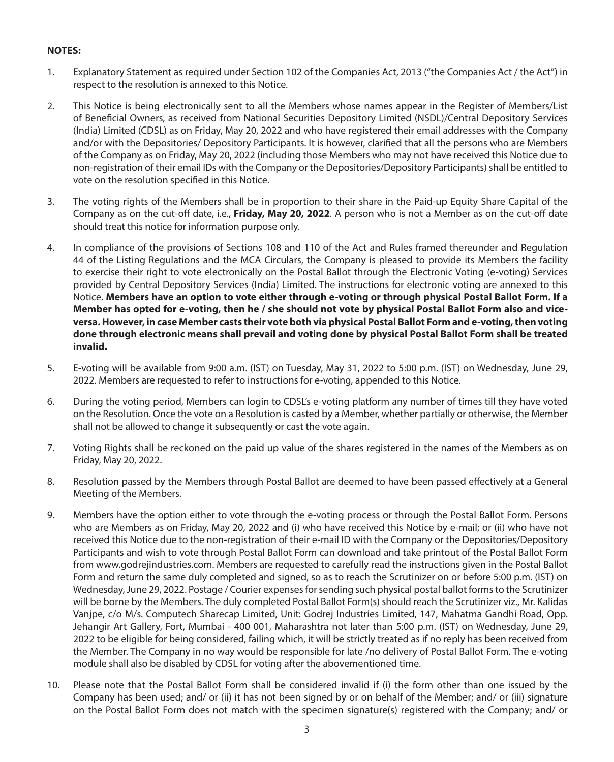## **NOTES:**

- 1. Explanatory Statement as required under Section 102 of the Companies Act, 2013 ("the Companies Act / the Act") in respect to the resolution is annexed to this Notice.
- 2. This Notice is being electronically sent to all the Members whose names appear in the Register of Members/List of Beneficial Owners, as received from National Securities Depository Limited (NSDL)/Central Depository Services (India) Limited (CDSL) as on Friday, May 20, 2022 and who have registered their email addresses with the Company and/or with the Depositories/ Depository Participants. It is however, clarified that all the persons who are Members of the Company as on Friday, May 20, 2022 (including those Members who may not have received this Notice due to non-registration of their email IDs with the Company or the Depositories/Depository Participants) shall be entitled to vote on the resolution specified in this Notice.
- 3. The voting rights of the Members shall be in proportion to their share in the Paid-up Equity Share Capital of the Company as on the cut-off date, i.e., **Friday, May 20, 2022**. A person who is not a Member as on the cut-off date should treat this notice for information purpose only.
- 4. In compliance of the provisions of Sections 108 and 110 of the Act and Rules framed thereunder and Regulation 44 of the Listing Regulations and the MCA Circulars, the Company is pleased to provide its Members the facility to exercise their right to vote electronically on the Postal Ballot through the Electronic Voting (e-voting) Services provided by Central Depository Services (India) Limited. The instructions for electronic voting are annexed to this Notice. **Members have an option to vote either through e-voting or through physical Postal Ballot Form. If a Member has opted for e-voting, then he / she should not vote by physical Postal Ballot Form also and viceversa. However, in case Member casts their vote both via physical Postal Ballot Form and e-voting, then voting done through electronic means shall prevail and voting done by physical Postal Ballot Form shall be treated invalid.**
- 5. E-voting will be available from 9:00 a.m. (IST) on Tuesday, May 31, 2022 to 5:00 p.m. (IST) on Wednesday, June 29, 2022. Members are requested to refer to instructions for e-voting, appended to this Notice.
- 6. During the voting period, Members can login to CDSL's e-voting platform any number of times till they have voted on the Resolution. Once the vote on a Resolution is casted by a Member, whether partially or otherwise, the Member shall not be allowed to change it subsequently or cast the vote again.
- 7. Voting Rights shall be reckoned on the paid up value of the shares registered in the names of the Members as on Friday, May 20, 2022.
- 8. Resolution passed by the Members through Postal Ballot are deemed to have been passed effectively at a General Meeting of the Members.
- 9. Members have the option either to vote through the e-voting process or through the Postal Ballot Form. Persons who are Members as on Friday, May 20, 2022 and (i) who have received this Notice by e-mail; or (ii) who have not received this Notice due to the non-registration of their e-mail ID with the Company or the Depositories/Depository Participants and wish to vote through Postal Ballot Form can download and take printout of the Postal Ballot Form from www.godrejindustries.com. Members are requested to carefully read the instructions given in the Postal Ballot Form and return the same duly completed and signed, so as to reach the Scrutinizer on or before 5:00 p.m. (IST) on Wednesday, June 29, 2022. Postage / Courier expenses for sending such physical postal ballot forms to the Scrutinizer will be borne by the Members. The duly completed Postal Ballot Form(s) should reach the Scrutinizer viz., Mr. Kalidas Vanjpe, c/o M/s. Computech Sharecap Limited, Unit: Godrej Industries Limited, 147, Mahatma Gandhi Road, Opp. Jehangir Art Gallery, Fort, Mumbai - 400 001, Maharashtra not later than 5:00 p.m. (IST) on Wednesday, June 29, 2022 to be eligible for being considered, failing which, it will be strictly treated as if no reply has been received from the Member. The Company in no way would be responsible for late /no delivery of Postal Ballot Form. The e-voting module shall also be disabled by CDSL for voting after the abovementioned time.
- 10. Please note that the Postal Ballot Form shall be considered invalid if (i) the form other than one issued by the Company has been used; and/ or (ii) it has not been signed by or on behalf of the Member; and/ or (iii) signature on the Postal Ballot Form does not match with the specimen signature(s) registered with the Company; and/ or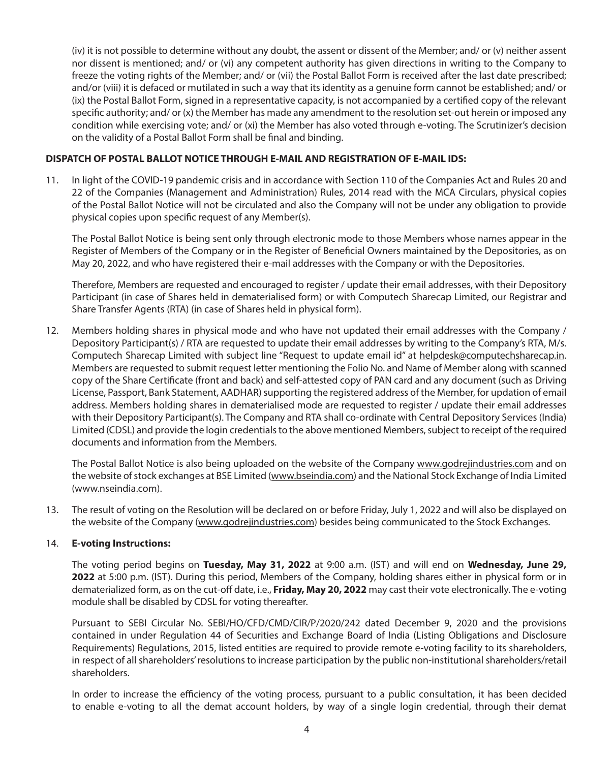(iv) it is not possible to determine without any doubt, the assent or dissent of the Member; and/ or (v) neither assent nor dissent is mentioned; and/ or (vi) any competent authority has given directions in writing to the Company to freeze the voting rights of the Member; and/ or (vii) the Postal Ballot Form is received after the last date prescribed; and/or (viii) it is defaced or mutilated in such a way that its identity as a genuine form cannot be established; and/ or (ix) the Postal Ballot Form, signed in a representative capacity, is not accompanied by a certified copy of the relevant specific authority; and/ or (x) the Member has made any amendment to the resolution set-out herein or imposed any condition while exercising vote; and/ or (xi) the Member has also voted through e-voting. The Scrutinizer's decision on the validity of a Postal Ballot Form shall be final and binding.

### **DISPATCH OF POSTAL BALLOT NOTICE THROUGH E-MAIL AND REGISTRATION OF E-MAIL IDS:**

11. In light of the COVID-19 pandemic crisis and in accordance with Section 110 of the Companies Act and Rules 20 and 22 of the Companies (Management and Administration) Rules, 2014 read with the MCA Circulars, physical copies of the Postal Ballot Notice will not be circulated and also the Company will not be under any obligation to provide physical copies upon specific request of any Member(s).

The Postal Ballot Notice is being sent only through electronic mode to those Members whose names appear in the Register of Members of the Company or in the Register of Beneficial Owners maintained by the Depositories, as on May 20, 2022, and who have registered their e-mail addresses with the Company or with the Depositories.

Therefore, Members are requested and encouraged to register / update their email addresses, with their Depository Participant (in case of Shares held in dematerialised form) or with Computech Sharecap Limited, our Registrar and Share Transfer Agents (RTA) (in case of Shares held in physical form).

12. Members holding shares in physical mode and who have not updated their email addresses with the Company / Depository Participant(s) / RTA are requested to update their email addresses by writing to the Company's RTA, M/s. Computech Sharecap Limited with subject line "Request to update email id" at helpdesk@computechsharecap.in. Members are requested to submit request letter mentioning the Folio No. and Name of Member along with scanned copy of the Share Certificate (front and back) and self-attested copy of PAN card and any document (such as Driving License, Passport, Bank Statement, AADHAR) supporting the registered address of the Member, for updation of email address. Members holding shares in dematerialised mode are requested to register / update their email addresses with their Depository Participant(s). The Company and RTA shall co-ordinate with Central Depository Services (India) Limited (CDSL) and provide the login credentials to the above mentioned Members, subject to receipt of the required documents and information from the Members.

The Postal Ballot Notice is also being uploaded on the website of the Company www.godrejindustries.com and on the website of stock exchanges at BSE Limited (www.bseindia.com) and the National Stock Exchange of India Limited (www.nseindia.com).

13. The result of voting on the Resolution will be declared on or before Friday, July 1, 2022 and will also be displayed on the website of the Company (www.godrejindustries.com) besides being communicated to the Stock Exchanges.

### 14. **E-voting Instructions:**

The voting period begins on **Tuesday, May 31, 2022** at 9:00 a.m. (IST) and will end on **Wednesday, June 29, 2022** at 5:00 p.m. (IST). During this period, Members of the Company, holding shares either in physical form or in dematerialized form, as on the cut-off date, i.e., **Friday, May 20, 2022** may cast their vote electronically. The e-voting module shall be disabled by CDSL for voting thereafter.

Pursuant to SEBI Circular No. SEBI/HO/CFD/CMD/CIR/P/2020/242 dated December 9, 2020 and the provisions contained in under Regulation 44 of Securities and Exchange Board of India (Listing Obligations and Disclosure Requirements) Regulations, 2015, listed entities are required to provide remote e-voting facility to its shareholders, in respect of all shareholders' resolutions to increase participation by the public non-institutional shareholders/retail shareholders.

In order to increase the efficiency of the voting process, pursuant to a public consultation, it has been decided to enable e-voting to all the demat account holders, by way of a single login credential, through their demat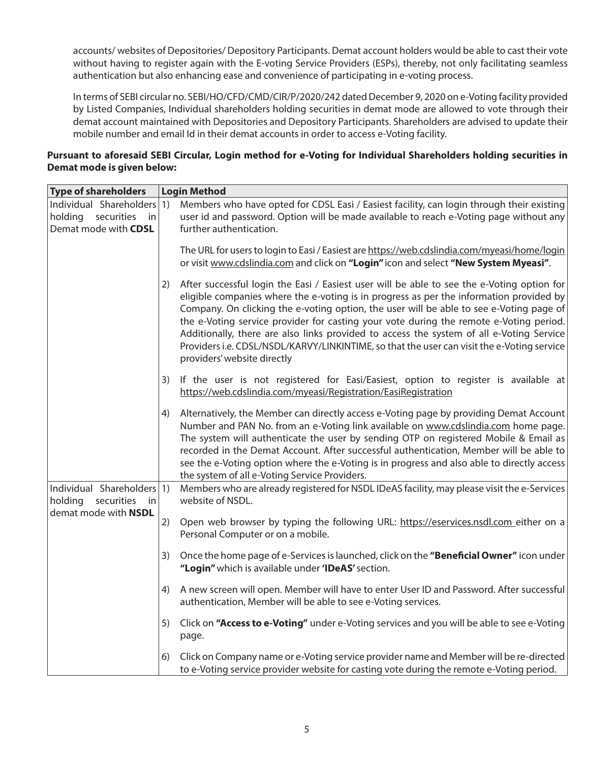accounts/ websites of Depositories/ Depository Participants. Demat account holders would be able to cast their vote without having to register again with the E-voting Service Providers (ESPs), thereby, not only facilitating seamless authentication but also enhancing ease and convenience of participating in e-voting process.

In terms of SEBI circular no. SEBI/HO/CFD/CMD/CIR/P/2020/242 dated December 9, 2020 on e-Voting facility provided by Listed Companies, Individual shareholders holding securities in demat mode are allowed to vote through their demat account maintained with Depositories and Depository Participants. Shareholders are advised to update their mobile number and email Id in their demat accounts in order to access e-Voting facility.

## **Pursuant to aforesaid SEBI Circular, Login method for e-Voting for Individual Shareholders holding securities in Demat mode is given below:**

| <b>Type of shareholders</b>                                                    | <b>Login Method</b> |                                                                                                                                                                                                                                                                                                                                                                                                                                                                                                                                                                                                     |
|--------------------------------------------------------------------------------|---------------------|-----------------------------------------------------------------------------------------------------------------------------------------------------------------------------------------------------------------------------------------------------------------------------------------------------------------------------------------------------------------------------------------------------------------------------------------------------------------------------------------------------------------------------------------------------------------------------------------------------|
| Individual Shareholders 1)<br>holding securities<br>in<br>Demat mode with CDSL |                     | Members who have opted for CDSL Easi / Easiest facility, can login through their existing<br>user id and password. Option will be made available to reach e-Voting page without any<br>further authentication.                                                                                                                                                                                                                                                                                                                                                                                      |
|                                                                                |                     | The URL for users to login to Easi / Easiest are https://web.cdslindia.com/myeasi/home/login<br>or visit www.cdslindia.com and click on "Login" icon and select "New System Myeasi".                                                                                                                                                                                                                                                                                                                                                                                                                |
|                                                                                | 2)                  | After successful login the Easi / Easiest user will be able to see the e-Voting option for<br>eligible companies where the e-voting is in progress as per the information provided by<br>Company. On clicking the e-voting option, the user will be able to see e-Voting page of<br>the e-Voting service provider for casting your vote during the remote e-Voting period.<br>Additionally, there are also links provided to access the system of all e-Voting Service<br>Providers i.e. CDSL/NSDL/KARVY/LINKINTIME, so that the user can visit the e-Voting service<br>providers' website directly |
|                                                                                | 3)                  | If the user is not registered for Easi/Easiest, option to register is available at<br>https://web.cdslindia.com/myeasi/Registration/EasiRegistration                                                                                                                                                                                                                                                                                                                                                                                                                                                |
|                                                                                | 4)                  | Alternatively, the Member can directly access e-Voting page by providing Demat Account<br>Number and PAN No. from an e-Voting link available on www.cdslindia.com home page.<br>The system will authenticate the user by sending OTP on registered Mobile & Email as<br>recorded in the Demat Account. After successful authentication, Member will be able to<br>see the e-Voting option where the e-Voting is in progress and also able to directly access<br>the system of all e-Voting Service Providers.                                                                                       |
| Individual Shareholders<br>holding<br>securities<br>in<br>demat mode with NSDL | 1)                  | Members who are already registered for NSDL IDeAS facility, may please visit the e-Services<br>website of NSDL.                                                                                                                                                                                                                                                                                                                                                                                                                                                                                     |
|                                                                                | 2)                  | Open web browser by typing the following URL: https://eservices.nsdl.com_either on a<br>Personal Computer or on a mobile.                                                                                                                                                                                                                                                                                                                                                                                                                                                                           |
|                                                                                | 3)                  | Once the home page of e-Services is launched, click on the "Beneficial Owner" icon under<br>"Login" which is available under 'IDeAS' section.                                                                                                                                                                                                                                                                                                                                                                                                                                                       |
|                                                                                | 4)                  | A new screen will open. Member will have to enter User ID and Password. After successful<br>authentication, Member will be able to see e-Voting services.                                                                                                                                                                                                                                                                                                                                                                                                                                           |
|                                                                                | 5)                  | Click on "Access to e-Voting" under e-Voting services and you will be able to see e-Voting<br>page.                                                                                                                                                                                                                                                                                                                                                                                                                                                                                                 |
|                                                                                | 6)                  | Click on Company name or e-Voting service provider name and Member will be re-directed<br>to e-Voting service provider website for casting vote during the remote e-Voting period.                                                                                                                                                                                                                                                                                                                                                                                                                  |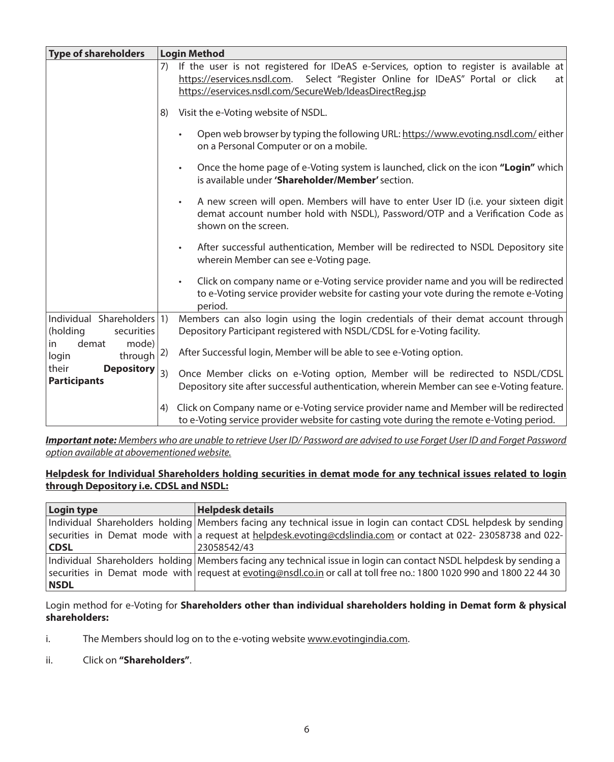| <b>Type of shareholders</b>                       | <b>Login Method</b> |                                                                                                                                                                                                                                           |  |
|---------------------------------------------------|---------------------|-------------------------------------------------------------------------------------------------------------------------------------------------------------------------------------------------------------------------------------------|--|
|                                                   | 7)                  | If the user is not registered for IDeAS e-Services, option to register is available at<br>https://eservices.nsdl.com. Select "Register Online for IDeAS" Portal or click<br>at<br>https://eservices.nsdl.com/SecureWeb/IdeasDirectReg.jsp |  |
|                                                   | 8)                  | Visit the e-Voting website of NSDL.                                                                                                                                                                                                       |  |
|                                                   |                     | Open web browser by typing the following URL: https://www.evoting.nsdl.com/either<br>٠<br>on a Personal Computer or on a mobile.                                                                                                          |  |
|                                                   |                     | Once the home page of e-Voting system is launched, click on the icon "Login" which<br>$\bullet$<br>is available under 'Shareholder/Member' section.                                                                                       |  |
|                                                   |                     | A new screen will open. Members will have to enter User ID (i.e. your sixteen digit<br>$\bullet$<br>demat account number hold with NSDL), Password/OTP and a Verification Code as<br>shown on the screen.                                 |  |
|                                                   |                     | After successful authentication, Member will be redirected to NSDL Depository site<br>$\bullet$<br>wherein Member can see e-Voting page.                                                                                                  |  |
|                                                   |                     | Click on company name or e-Voting service provider name and you will be redirected<br>$\bullet$<br>to e-Voting service provider website for casting your vote during the remote e-Voting<br>period.                                       |  |
| Individual Shareholders 1)                        |                     | Members can also login using the login credentials of their demat account through                                                                                                                                                         |  |
| (holding<br>securities<br>mode)<br>demat<br>in    |                     | Depository Participant registered with NSDL/CDSL for e-Voting facility.                                                                                                                                                                   |  |
| through<br>login                                  | 2)                  | After Successful login, Member will be able to see e-Voting option.                                                                                                                                                                       |  |
| <b>Depository</b><br>their<br><b>Participants</b> |                     | Once Member clicks on e-Voting option, Member will be redirected to NSDL/CDSL                                                                                                                                                             |  |
|                                                   |                     | Depository site after successful authentication, wherein Member can see e-Voting feature.                                                                                                                                                 |  |
|                                                   | 4)                  | Click on Company name or e-Voting service provider name and Member will be redirected<br>to e-Voting service provider website for casting vote during the remote e-Voting period.                                                         |  |

*Important note: Members who are unable to retrieve User ID/ Password are advised to use Forget User ID and Forget Password option available at abovementioned website.*

## **Helpdesk for Individual Shareholders holding securities in demat mode for any technical issues related to login through Depository i.e. CDSL and NSDL:**

| Login type  | <b>Helpdesk details</b>                                                                                               |
|-------------|-----------------------------------------------------------------------------------------------------------------------|
|             | Individual Shareholders holding Members facing any technical issue in login can contact CDSL helpdesk by sending      |
|             | securities in Demat mode with a request at helpdesk.evoting@cdslindia.com or contact at 022-23058738 and 022-         |
| <b>CDSL</b> | 23058542/43                                                                                                           |
|             | Individual Shareholders holding Members facing any technical issue in login can contact NSDL helpdesk by sending a    |
|             | securities in Demat mode with request at evoting@nsdl.co.in or call at toll free no.: 1800 1020 990 and 1800 22 44 30 |
| <b>NSDL</b> |                                                                                                                       |

Login method for e-Voting for **Shareholders other than individual shareholders holding in Demat form & physical shareholders:**

- i. The Members should log on to the e-voting website www.evotingindia.com.
- ii. Click on **"Shareholders"**.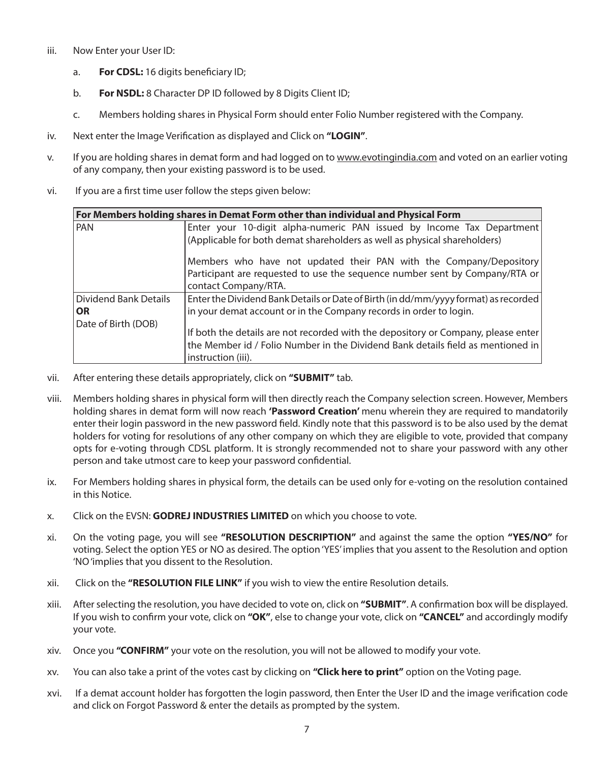## iii. Now Enter your User ID:

- a. **For CDSL:** 16 digits beneficiary ID;
- b. **For NSDL:** 8 Character DP ID followed by 8 Digits Client ID;
- c. Members holding shares in Physical Form should enter Folio Number registered with the Company.
- iv. Next enter the Image Verification as displayed and Click on **"LOGIN"**.
- v. If you are holding shares in demat form and had logged on to www.evotingindia.com and voted on an earlier voting of any company, then your existing password is to be used.
- vi. If you are a first time user follow the steps given below:

| For Members holding shares in Demat Form other than individual and Physical Form |                                                                                                                                                                                            |  |  |  |
|----------------------------------------------------------------------------------|--------------------------------------------------------------------------------------------------------------------------------------------------------------------------------------------|--|--|--|
| <b>PAN</b>                                                                       | Enter your 10-digit alpha-numeric PAN issued by Income Tax Department<br>(Applicable for both demat shareholders as well as physical shareholders)                                         |  |  |  |
|                                                                                  | Members who have not updated their PAN with the Company/Depository<br>Participant are requested to use the sequence number sent by Company/RTA or<br>contact Company/RTA.                  |  |  |  |
| Dividend Bank Details<br><b>OR</b><br>Date of Birth (DOB)                        | Enter the Dividend Bank Details or Date of Birth (in dd/mm/yyyy format) as recorded<br>in your demat account or in the Company records in order to login.                                  |  |  |  |
|                                                                                  | If both the details are not recorded with the depository or Company, please enter<br>the Member id / Folio Number in the Dividend Bank details field as mentioned in<br>instruction (iii). |  |  |  |

- vii. After entering these details appropriately, click on **"SUBMIT"** tab.
- viii. Members holding shares in physical form will then directly reach the Company selection screen. However, Members holding shares in demat form will now reach **'Password Creation'** menu wherein they are required to mandatorily enter their login password in the new password field. Kindly note that this password is to be also used by the demat holders for voting for resolutions of any other company on which they are eligible to vote, provided that company opts for e-voting through CDSL platform. It is strongly recommended not to share your password with any other person and take utmost care to keep your password confidential.
- ix. For Members holding shares in physical form, the details can be used only for e-voting on the resolution contained in this Notice.
- x. Click on the EVSN: **GODREJ INDUSTRIES LIMITED** on which you choose to vote.
- xi. On the voting page, you will see **"RESOLUTION DESCRIPTION"** and against the same the option **"YES/NO"** for voting. Select the option YES or NO as desired. The option 'YES' implies that you assent to the Resolution and option 'NO 'implies that you dissent to the Resolution.
- xii. Click on the **"RESOLUTION FILE LINK"** if you wish to view the entire Resolution details.
- xiii. After selecting the resolution, you have decided to vote on, click on **"SUBMIT"**. A confirmation box will be displayed. If you wish to confirm your vote, click on **"OK"**, else to change your vote, click on **"CANCEL"** and accordingly modify your vote.
- xiv. Once you **"CONFIRM"** your vote on the resolution, you will not be allowed to modify your vote.
- xv. You can also take a print of the votes cast by clicking on **"Click here to print"** option on the Voting page.
- xvi. If a demat account holder has forgotten the login password, then Enter the User ID and the image verification code and click on Forgot Password & enter the details as prompted by the system.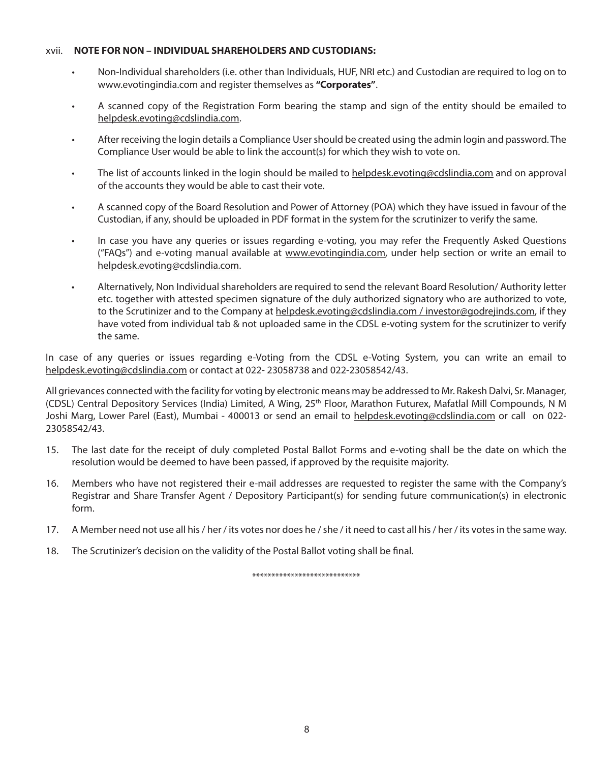#### xvii. **NOTE FOR NON – INDIVIDUAL SHAREHOLDERS AND CUSTODIANS:**

- • Non-Individual shareholders (i.e. other than Individuals, HUF, NRI etc.) and Custodian are required to log on to www.evotingindia.com and register themselves as **"Corporates"**.
- • A scanned copy of the Registration Form bearing the stamp and sign of the entity should be emailed to helpdesk.evoting@cdslindia.com.
- • After receiving the login details a Compliance Usershould be created using the admin login and password. The Compliance User would be able to link the account(s) for which they wish to vote on.
- The list of accounts linked in the login should be mailed to helpdesk.evoting@cdslindia.com and on approval of the accounts they would be able to cast their vote.
- A scanned copy of the Board Resolution and Power of Attorney (POA) which they have issued in favour of the Custodian, if any, should be uploaded in PDF format in the system for the scrutinizer to verify the same.
- In case you have any queries or issues regarding e-voting, you may refer the Frequently Asked Questions ("FAQs") and e-voting manual available at www.evotingindia.com, under help section or write an email to helpdesk.evoting@cdslindia.com.
- Alternatively, Non Individual shareholders are required to send the relevant Board Resolution/ Authority letter etc. together with attested specimen signature of the duly authorized signatory who are authorized to vote, to the Scrutinizer and to the Company at helpdesk.evoting@cdslindia.com / investor@godrejinds.com, if they have voted from individual tab & not uploaded same in the CDSL e-voting system for the scrutinizer to verify the same.

In case of any queries or issues regarding e-Voting from the CDSL e-Voting System, you can write an email to helpdesk.evoting@cdslindia.com or contact at 022- 23058738 and 022-23058542/43.

All grievances connected with the facility for voting by electronic means may be addressed to Mr. Rakesh Dalvi, Sr. Manager, (CDSL) Central Depository Services (India) Limited, A Wing, 25<sup>th</sup> Floor, Marathon Futurex, Mafatlal Mill Compounds, N M Joshi Marg, Lower Parel (East), Mumbai - 400013 or send an email to helpdesk.evoting@cdslindia.com or call on 022-23058542/43.

- 15. The last date for the receipt of duly completed Postal Ballot Forms and e-voting shall be the date on which the resolution would be deemed to have been passed, if approved by the requisite majority.
- 16. Members who have not registered their e-mail addresses are requested to register the same with the Company's Registrar and Share Transfer Agent / Depository Participant(s) for sending future communication(s) in electronic form.
- 17. A Member need not use all his / her / its votes nor does he / she / it need to cast all his / her / its votes in the same way.
- 18. The Scrutinizer's decision on the validity of the Postal Ballot voting shall be final.

\*\*\*\*\*\*\*\*\*\*\*\*\*\*\*\*\*\*\*\*\*\*\*\*\*\*\*\*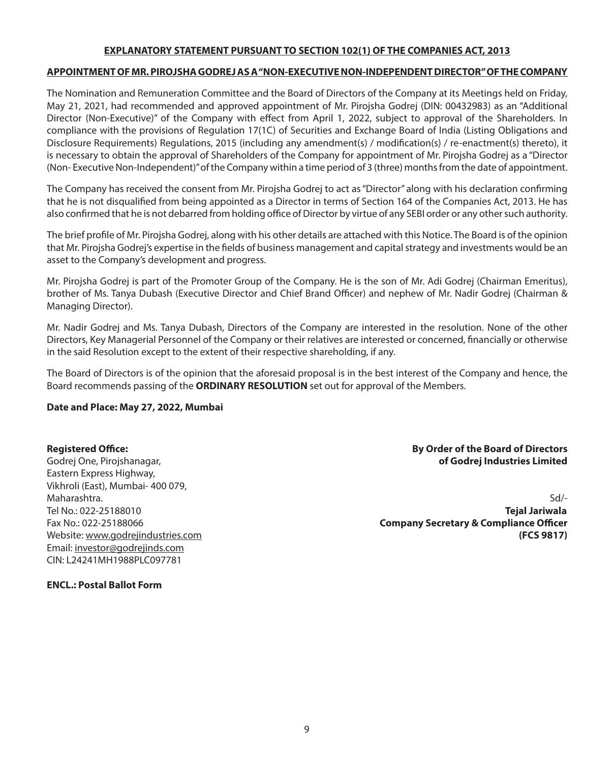### **EXPLANATORY STATEMENT PURSUANT TO SECTION 102(1) OF THE COMPANIES ACT, 2013**

#### **APPOINTMENT OF MR. PIROJSHA GODREJ AS A "NON-EXECUTIVE NON-INDEPENDENT DIRECTOR" OF THE COMPANY**

The Nomination and Remuneration Committee and the Board of Directors of the Company at its Meetings held on Friday, May 21, 2021, had recommended and approved appointment of Mr. Pirojsha Godrej (DIN: 00432983) as an "Additional Director (Non-Executive)" of the Company with effect from April 1, 2022, subject to approval of the Shareholders. In compliance with the provisions of Regulation 17(1C) of Securities and Exchange Board of India (Listing Obligations and Disclosure Requirements) Regulations, 2015 (including any amendment(s) / modification(s) / re-enactment(s) thereto), it is necessary to obtain the approval of Shareholders of the Company for appointment of Mr. Pirojsha Godrej as a "Director (Non- Executive Non-Independent)" of the Company within a time period of 3 (three) months from the date of appointment.

The Company has received the consent from Mr. Pirojsha Godrej to act as "Director" along with his declaration confirming that he is not disqualified from being appointed as a Director in terms of Section 164 of the Companies Act, 2013. He has also confirmed that he is not debarred from holding office of Director by virtue of any SEBI order or any other such authority.

The brief profile of Mr. Pirojsha Godrej, along with his other details are attached with this Notice. The Board is of the opinion that Mr. Pirojsha Godrej's expertise in the fields of business management and capital strategy and investments would be an asset to the Company's development and progress.

Mr. Pirojsha Godrej is part of the Promoter Group of the Company. He is the son of Mr. Adi Godrej (Chairman Emeritus), brother of Ms. Tanya Dubash (Executive Director and Chief Brand Officer) and nephew of Mr. Nadir Godrej (Chairman & Managing Director).

Mr. Nadir Godrej and Ms. Tanya Dubash, Directors of the Company are interested in the resolution. None of the other Directors, Key Managerial Personnel of the Company or their relatives are interested or concerned, financially or otherwise in the said Resolution except to the extent of their respective shareholding, if any.

The Board of Directors is of the opinion that the aforesaid proposal is in the best interest of the Company and hence, the Board recommends passing of the **ORDINARY RESOLUTION** set out for approval of the Members.

#### **Date and Place: May 27, 2022, Mumbai**

Eastern Express Highway, Vikhroli (East), Mumbai- 400 079, Maharashtra. Sd/- Email: investor@godrejinds.com CIN: L24241MH1988PLC097781

**ENCL.: Postal Ballot Form**

**Registered Office: By Order of the Board of Directors** Godrej One, Pirojshanagar, **of Godrej Industries Limited**

Tel No.: 022-25188010 **Tejal Jariwala** Fax No.: 022-25188066 **Company Secretary & Compliance Officer** Website: www.godrejindustries.com **(FCS 9817)**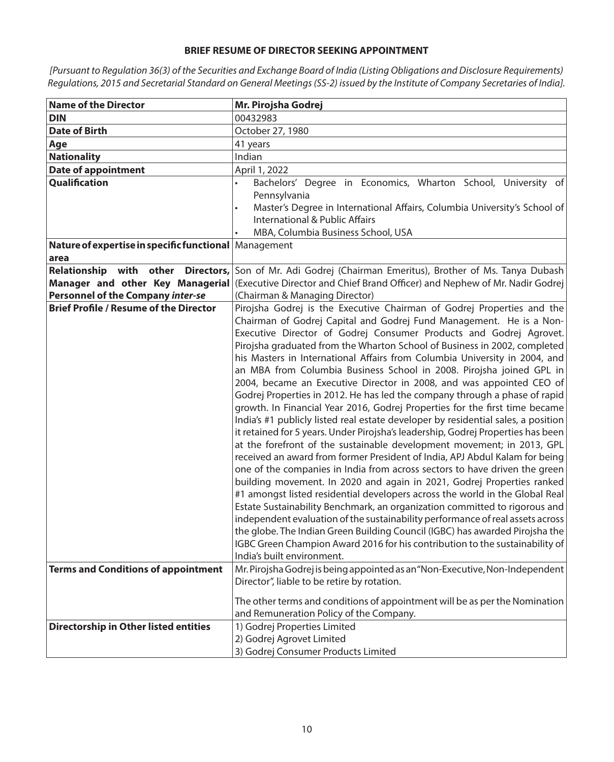## **BRIEF RESUME OF DIRECTOR SEEKING APPOINTMENT**

*[Pursuant to Regulation 36(3) of the Securities and Exchange Board of India (Listing Obligations and Disclosure Requirements) Regulations, 2015 and Secretarial Standard on General Meetings (SS-2) issued by the Institute of Company Secretaries of India].*

| <b>Name of the Director</b>                             | Mr. Pirojsha Godrej                                                                                                                                                                                                                                                                                                                                                                                                                                                                                                                                                                                                                                                                                                                                                                                                                                                                                                                                                                                                                                                                                                                                                                                                                                                                                                                                 |  |  |
|---------------------------------------------------------|-----------------------------------------------------------------------------------------------------------------------------------------------------------------------------------------------------------------------------------------------------------------------------------------------------------------------------------------------------------------------------------------------------------------------------------------------------------------------------------------------------------------------------------------------------------------------------------------------------------------------------------------------------------------------------------------------------------------------------------------------------------------------------------------------------------------------------------------------------------------------------------------------------------------------------------------------------------------------------------------------------------------------------------------------------------------------------------------------------------------------------------------------------------------------------------------------------------------------------------------------------------------------------------------------------------------------------------------------------|--|--|
| <b>DIN</b>                                              | 00432983                                                                                                                                                                                                                                                                                                                                                                                                                                                                                                                                                                                                                                                                                                                                                                                                                                                                                                                                                                                                                                                                                                                                                                                                                                                                                                                                            |  |  |
| <b>Date of Birth</b>                                    | October 27, 1980                                                                                                                                                                                                                                                                                                                                                                                                                                                                                                                                                                                                                                                                                                                                                                                                                                                                                                                                                                                                                                                                                                                                                                                                                                                                                                                                    |  |  |
| Age                                                     | 41 years                                                                                                                                                                                                                                                                                                                                                                                                                                                                                                                                                                                                                                                                                                                                                                                                                                                                                                                                                                                                                                                                                                                                                                                                                                                                                                                                            |  |  |
| <b>Nationality</b>                                      | Indian                                                                                                                                                                                                                                                                                                                                                                                                                                                                                                                                                                                                                                                                                                                                                                                                                                                                                                                                                                                                                                                                                                                                                                                                                                                                                                                                              |  |  |
| <b>Date of appointment</b>                              | April 1, 2022                                                                                                                                                                                                                                                                                                                                                                                                                                                                                                                                                                                                                                                                                                                                                                                                                                                                                                                                                                                                                                                                                                                                                                                                                                                                                                                                       |  |  |
| Qualification                                           | Bachelors' Degree in Economics, Wharton School, University of<br>Pennsylvania<br>Master's Degree in International Affairs, Columbia University's School of                                                                                                                                                                                                                                                                                                                                                                                                                                                                                                                                                                                                                                                                                                                                                                                                                                                                                                                                                                                                                                                                                                                                                                                          |  |  |
|                                                         | International & Public Affairs<br>MBA, Columbia Business School, USA                                                                                                                                                                                                                                                                                                                                                                                                                                                                                                                                                                                                                                                                                                                                                                                                                                                                                                                                                                                                                                                                                                                                                                                                                                                                                |  |  |
| Nature of expertise in specific functional   Management |                                                                                                                                                                                                                                                                                                                                                                                                                                                                                                                                                                                                                                                                                                                                                                                                                                                                                                                                                                                                                                                                                                                                                                                                                                                                                                                                                     |  |  |
| area                                                    |                                                                                                                                                                                                                                                                                                                                                                                                                                                                                                                                                                                                                                                                                                                                                                                                                                                                                                                                                                                                                                                                                                                                                                                                                                                                                                                                                     |  |  |
| Relationship with                                       | other Directors, Son of Mr. Adi Godrej (Chairman Emeritus), Brother of Ms. Tanya Dubash                                                                                                                                                                                                                                                                                                                                                                                                                                                                                                                                                                                                                                                                                                                                                                                                                                                                                                                                                                                                                                                                                                                                                                                                                                                             |  |  |
|                                                         | Manager and other Key Managerial (Executive Director and Chief Brand Officer) and Nephew of Mr. Nadir Godrej                                                                                                                                                                                                                                                                                                                                                                                                                                                                                                                                                                                                                                                                                                                                                                                                                                                                                                                                                                                                                                                                                                                                                                                                                                        |  |  |
| <b>Personnel of the Company inter-se</b>                | (Chairman & Managing Director)                                                                                                                                                                                                                                                                                                                                                                                                                                                                                                                                                                                                                                                                                                                                                                                                                                                                                                                                                                                                                                                                                                                                                                                                                                                                                                                      |  |  |
| <b>Brief Profile / Resume of the Director</b>           | Pirojsha Godrej is the Executive Chairman of Godrej Properties and the<br>Chairman of Godrej Capital and Godrej Fund Management. He is a Non-<br>Executive Director of Godrej Consumer Products and Godrej Agrovet.<br>Pirojsha graduated from the Wharton School of Business in 2002, completed<br>his Masters in International Affairs from Columbia University in 2004, and<br>an MBA from Columbia Business School in 2008. Pirojsha joined GPL in<br>2004, became an Executive Director in 2008, and was appointed CEO of<br>Godrej Properties in 2012. He has led the company through a phase of rapid<br>growth. In Financial Year 2016, Godrej Properties for the first time became<br>India's #1 publicly listed real estate developer by residential sales, a position<br>it retained for 5 years. Under Pirojsha's leadership, Godrej Properties has been<br>at the forefront of the sustainable development movement; in 2013, GPL<br>received an award from former President of India, APJ Abdul Kalam for being<br>one of the companies in India from across sectors to have driven the green<br>building movement. In 2020 and again in 2021, Godrej Properties ranked<br>#1 amongst listed residential developers across the world in the Global Real<br>Estate Sustainability Benchmark, an organization committed to rigorous and |  |  |
|                                                         | independent evaluation of the sustainability performance of real assets across<br>the globe. The Indian Green Building Council (IGBC) has awarded Pirojsha the<br>IGBC Green Champion Award 2016 for his contribution to the sustainability of<br>India's built environment.                                                                                                                                                                                                                                                                                                                                                                                                                                                                                                                                                                                                                                                                                                                                                                                                                                                                                                                                                                                                                                                                        |  |  |
| <b>Terms and Conditions of appointment</b>              | Mr. Pirojsha Godrej is being appointed as an "Non-Executive, Non-Independent<br>Director", liable to be retire by rotation.                                                                                                                                                                                                                                                                                                                                                                                                                                                                                                                                                                                                                                                                                                                                                                                                                                                                                                                                                                                                                                                                                                                                                                                                                         |  |  |
|                                                         | The other terms and conditions of appointment will be as per the Nomination<br>and Remuneration Policy of the Company.                                                                                                                                                                                                                                                                                                                                                                                                                                                                                                                                                                                                                                                                                                                                                                                                                                                                                                                                                                                                                                                                                                                                                                                                                              |  |  |
| <b>Directorship in Other listed entities</b>            | 1) Godrej Properties Limited<br>2) Godrej Agrovet Limited<br>3) Godrej Consumer Products Limited                                                                                                                                                                                                                                                                                                                                                                                                                                                                                                                                                                                                                                                                                                                                                                                                                                                                                                                                                                                                                                                                                                                                                                                                                                                    |  |  |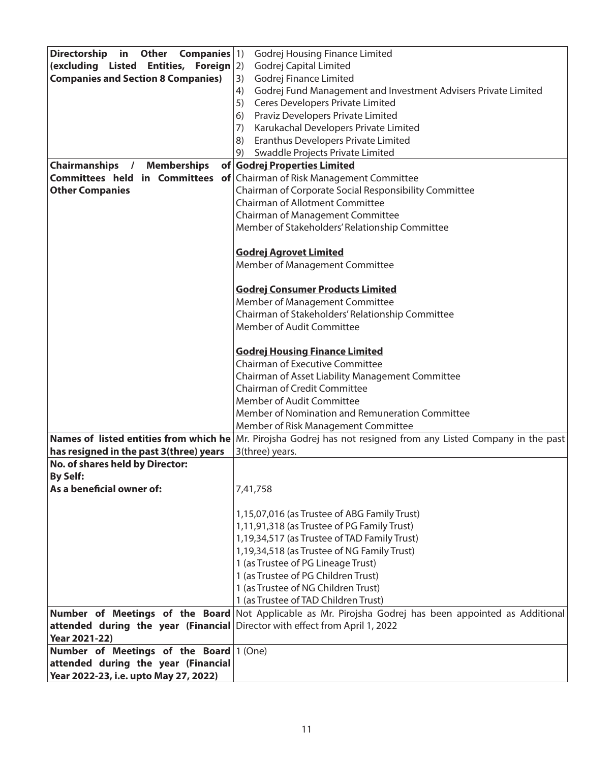| Directorship in<br>Companies $ 1\rangle$<br>Other      | Godrej Housing Finance Limited                                                                                  |  |
|--------------------------------------------------------|-----------------------------------------------------------------------------------------------------------------|--|
| (excluding Listed Entities,<br>Foreign                 | Godrej Capital Limited<br>2)                                                                                    |  |
| <b>Companies and Section 8 Companies)</b>              | Godrej Finance Limited<br>3)                                                                                    |  |
|                                                        | Godrej Fund Management and Investment Advisers Private Limited<br>4)                                            |  |
|                                                        | Ceres Developers Private Limited<br>5)                                                                          |  |
|                                                        | Praviz Developers Private Limited<br>6)                                                                         |  |
|                                                        | Karukachal Developers Private Limited<br>7)                                                                     |  |
|                                                        | 8)<br>Eranthus Developers Private Limited                                                                       |  |
|                                                        | 9)<br>Swaddle Projects Private Limited                                                                          |  |
| <b>Chairmanships</b><br><b>Memberships</b><br>$\prime$ | of Godrej Properties Limited                                                                                    |  |
|                                                        | <b>Committees held in Committees of Chairman of Risk Management Committee</b>                                   |  |
| <b>Other Companies</b>                                 | Chairman of Corporate Social Responsibility Committee                                                           |  |
|                                                        | <b>Chairman of Allotment Committee</b>                                                                          |  |
|                                                        |                                                                                                                 |  |
|                                                        | Chairman of Management Committee                                                                                |  |
|                                                        | Member of Stakeholders' Relationship Committee                                                                  |  |
|                                                        |                                                                                                                 |  |
|                                                        | <b>Godrej Agrovet Limited</b>                                                                                   |  |
|                                                        | Member of Management Committee                                                                                  |  |
|                                                        |                                                                                                                 |  |
|                                                        | <b>Godrej Consumer Products Limited</b>                                                                         |  |
|                                                        | Member of Management Committee                                                                                  |  |
|                                                        | Chairman of Stakeholders' Relationship Committee                                                                |  |
|                                                        | Member of Audit Committee                                                                                       |  |
|                                                        |                                                                                                                 |  |
|                                                        | <b>Godrej Housing Finance Limited</b>                                                                           |  |
|                                                        | Chairman of Executive Committee                                                                                 |  |
|                                                        | Chairman of Asset Liability Management Committee                                                                |  |
|                                                        | <b>Chairman of Credit Committee</b>                                                                             |  |
|                                                        |                                                                                                                 |  |
|                                                        | Member of Audit Committee                                                                                       |  |
|                                                        | Member of Nomination and Remuneration Committee                                                                 |  |
|                                                        | Member of Risk Management Committee                                                                             |  |
|                                                        | Names of listed entities from which he Mr. Pirojsha Godrej has not resigned from any Listed Company in the past |  |
| has resigned in the past 3(three) years                | 3(three) years.                                                                                                 |  |
| No. of shares held by Director:                        |                                                                                                                 |  |
| <b>By Self:</b>                                        |                                                                                                                 |  |
| As a beneficial owner of:                              | 7,41,758                                                                                                        |  |
|                                                        |                                                                                                                 |  |
|                                                        | 1,15,07,016 (as Trustee of ABG Family Trust)                                                                    |  |
|                                                        | 1,11,91,318 (as Trustee of PG Family Trust)                                                                     |  |
|                                                        | 1,19,34,517 (as Trustee of TAD Family Trust)                                                                    |  |
|                                                        | 1,19,34,518 (as Trustee of NG Family Trust)                                                                     |  |
|                                                        | 1 (as Trustee of PG Lineage Trust)                                                                              |  |
|                                                        |                                                                                                                 |  |
|                                                        | 1 (as Trustee of PG Children Trust)                                                                             |  |
|                                                        | 1 (as Trustee of NG Children Trust)                                                                             |  |
|                                                        | 1 (as Trustee of TAD Children Trust)                                                                            |  |
|                                                        | Number of Meetings of the Board Not Applicable as Mr. Pirojsha Godrej has been appointed as Additional          |  |
| attended during the year (Financial                    | Director with effect from April 1, 2022                                                                         |  |
| <b>Year 2021-22)</b>                                   |                                                                                                                 |  |
| Number of Meetings of the Board 1 (One)                |                                                                                                                 |  |
| attended during the year (Financial                    |                                                                                                                 |  |
| Year 2022-23, i.e. upto May 27, 2022)                  |                                                                                                                 |  |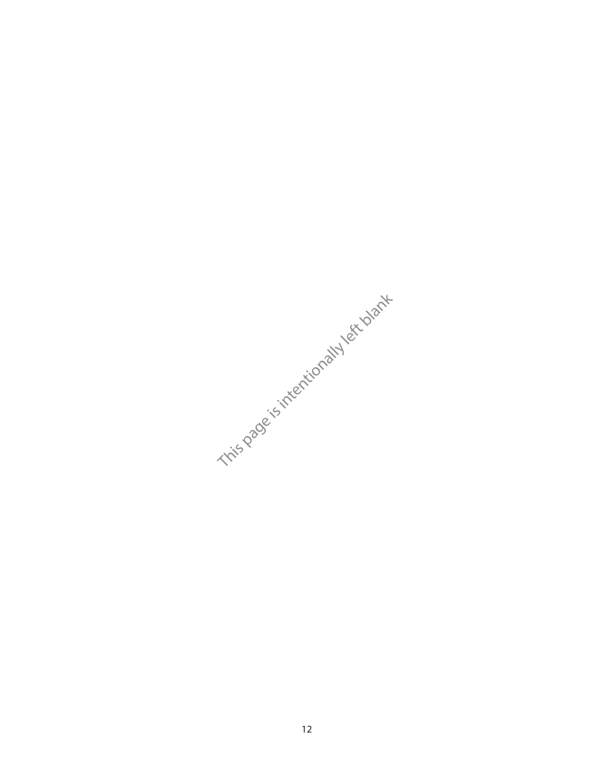This page is intentionally left blank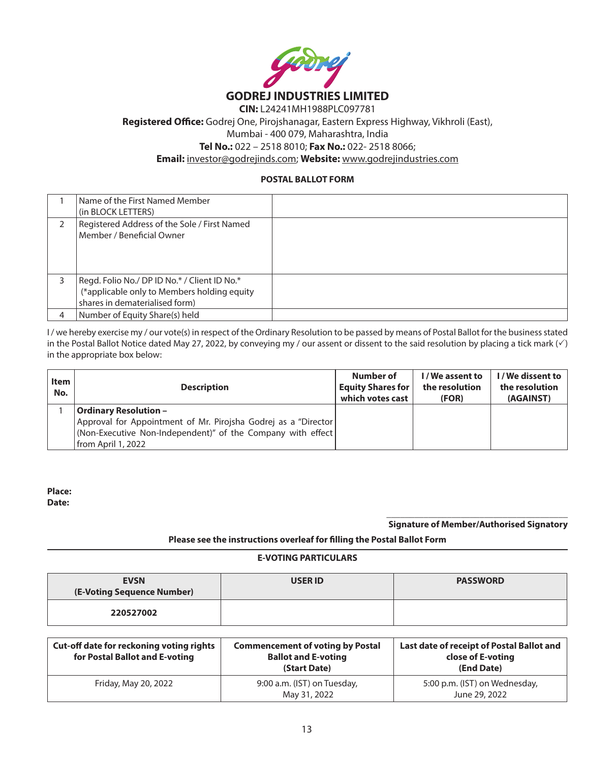

# **Registered Office:** Godrej One, Pirojshanagar, Eastern Express Highway, Vikhroli (East), Mumbai - 400 079, Maharashtra, India **Tel No.:** 022 – 2518 8010; **Fax No.:** 022- 2518 8066;

**Email:** investor@godrejinds.com; **Website:** www.godrejindustries.com

### **POSTAL BALLOT FORM**

|   | Name of the First Named Member<br>(in BLOCK LETTERS)                                                                          |  |
|---|-------------------------------------------------------------------------------------------------------------------------------|--|
| 2 | Registered Address of the Sole / First Named<br>Member / Beneficial Owner                                                     |  |
| 3 | Regd. Folio No./ DP ID No.* / Client ID No.*<br>(*applicable only to Members holding equity<br>shares in dematerialised form) |  |
|   | Number of Equity Share(s) held                                                                                                |  |

I / we hereby exercise my / our vote(s) in respect of the Ordinary Resolution to be passed by means of Postal Ballot for the business stated in the Postal Ballot Notice dated May 27, 2022, by conveying my / our assent or dissent to the said resolution by placing a tick mark  $(\check{\phantom{a}})$ in the appropriate box below:

| <b>Item</b><br>No. | <b>Description</b>                                             | Number of<br><b>Equity Shares for</b><br>which votes cast | I / We assent to<br>the resolution<br>(FOR) | I/We dissent to<br>the resolution<br>(AGAINST) |
|--------------------|----------------------------------------------------------------|-----------------------------------------------------------|---------------------------------------------|------------------------------------------------|
|                    | <b>Ordinary Resolution –</b>                                   |                                                           |                                             |                                                |
|                    | Approval for Appointment of Mr. Pirojsha Godrej as a "Director |                                                           |                                             |                                                |
|                    | (Non-Executive Non-Independent)" of the Company with effect    |                                                           |                                             |                                                |
|                    | from April 1, 2022                                             |                                                           |                                             |                                                |

**Place: Date:**

 $\mathcal{L}_\mathcal{L} = \{ \mathcal{L}_\mathcal{L} \mid \mathcal{L}_\mathcal{L} \}$  , where  $\mathcal{L}_\mathcal{L} = \{ \mathcal{L}_\mathcal{L} \mid \mathcal{L}_\mathcal{L} \}$  , where  $\mathcal{L}_\mathcal{L} = \{ \mathcal{L}_\mathcal{L} \mid \mathcal{L}_\mathcal{L} \}$  , where  $\mathcal{L}_\mathcal{L} = \{ \mathcal{L}_\mathcal{L} \mid \mathcal{L}_\mathcal{L} \}$  , where  $\mathcal{$ **Signature of Member/Authorised Signatory**

#### **Please see the instructions overleaf for filling the Postal Ballot Form**

#### **E-VOTING PARTICULARS**

| <b>EVSN</b><br>(E-Voting Sequence Number) | <b>USER ID</b> | <b>PASSWORD</b> |
|-------------------------------------------|----------------|-----------------|
| 220527002                                 |                |                 |

| <b>Cut-off date for reckoning voting rights</b><br>for Postal Ballot and E-voting | <b>Commencement of voting by Postal</b><br><b>Ballot and E-voting</b><br>(Start Date) | Last date of receipt of Postal Ballot and<br>close of E-voting<br>(End Date) |
|-----------------------------------------------------------------------------------|---------------------------------------------------------------------------------------|------------------------------------------------------------------------------|
| Friday, May 20, 2022                                                              | 9:00 a.m. (IST) on Tuesday,<br>May 31, 2022                                           | 5:00 p.m. (IST) on Wednesday,<br>June 29, 2022                               |